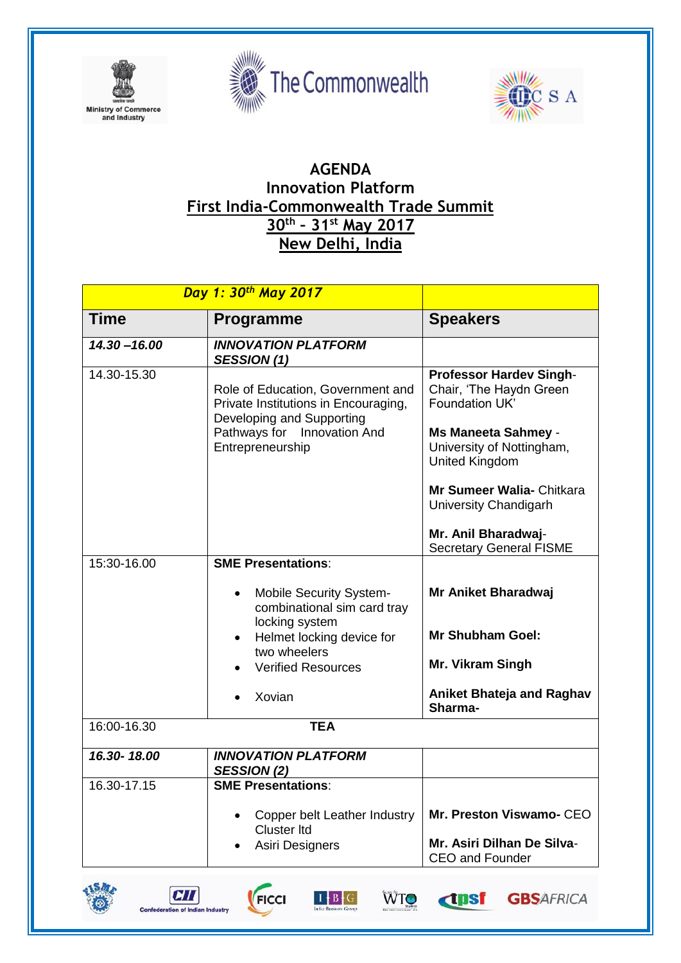





## **AGENDA Innovation Platform First India-Commonwealth Trade Summit 30th – 31st May 2017 New Delhi, India**

| Day 1: 30 <sup>th</sup> May 2017 |                                                                                                                                                                                                               |                                                                                                                                                                                                                                                                                |
|----------------------------------|---------------------------------------------------------------------------------------------------------------------------------------------------------------------------------------------------------------|--------------------------------------------------------------------------------------------------------------------------------------------------------------------------------------------------------------------------------------------------------------------------------|
| <b>Time</b>                      | <b>Programme</b>                                                                                                                                                                                              | <b>Speakers</b>                                                                                                                                                                                                                                                                |
| $14.30 - 16.00$                  | <b>INNOVATION PLATFORM</b><br><b>SESSION (1)</b>                                                                                                                                                              |                                                                                                                                                                                                                                                                                |
| 14.30-15.30                      | Role of Education, Government and<br>Private Institutions in Encouraging,<br>Developing and Supporting<br>Pathways for Innovation And<br>Entrepreneurship                                                     | <b>Professor Hardev Singh-</b><br>Chair, 'The Haydn Green<br>Foundation UK'<br><b>Ms Maneeta Sahmey -</b><br>University of Nottingham,<br><b>United Kingdom</b><br>Mr Sumeer Walia- Chitkara<br>University Chandigarh<br>Mr. Anil Bharadwaj-<br><b>Secretary General FISME</b> |
| 15:30-16.00                      | <b>SME Presentations:</b><br><b>Mobile Security System-</b><br>combinational sim card tray<br>locking system<br>Helmet locking device for<br>$\bullet$<br>two wheelers<br><b>Verified Resources</b><br>Xovian | Mr Aniket Bharadwaj<br><b>Mr Shubham Goel:</b><br><b>Mr. Vikram Singh</b><br>Aniket Bhateja and Raghav<br>Sharma-                                                                                                                                                              |
| 16:00-16.30                      | <b>TEA</b>                                                                                                                                                                                                    |                                                                                                                                                                                                                                                                                |
| 16.30-18.00                      | <b>INNOVATION PLATFORM</b><br><b>SESSION (2)</b>                                                                                                                                                              |                                                                                                                                                                                                                                                                                |
| 16.30-17.15                      | <b>SME Presentations:</b><br><b>Copper belt Leather Industry</b><br><b>Cluster Itd</b><br>Asiri Designers                                                                                                     | Mr. Preston Viswamo- CEO<br>Mr. Asiri Dilhan De Silva-<br><b>CEO and Founder</b>                                                                                                                                                                                               |







WTO

**dpsf** 

**GBSAFRICA**